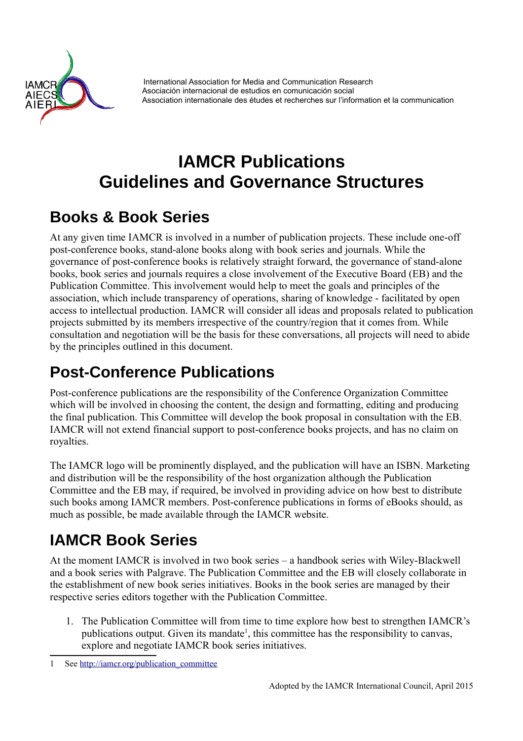

International Association for Media and Communication Research Asociación internacional de estudios en comunicación social Association internationale des études et recherches sur l'information et la communication

# **IAMCR Publications Guidelines and Governance Structures**

## **Books & Book Series**

At any given time IAMCR is involved in a number of publication projects. These include one-off post-conference books, stand-alone books along with book series and journals. While the governance of post-conference books is relatively straight forward, the governance of stand-alone books, book series and journals requires a close involvement of the Executive Board (EB) and the Publication Committee. This involvement would help to meet the goals and principles of the association, which include transparency of operations, sharing of knowledge - facilitated by open access to intellectual production. IAMCR will consider all ideas and proposals related to publication projects submitted by its members irrespective of the country/region that it comes from. While consultation and negotiation will be the basis for these conversations, all projects will need to abide by the principles outlined in this document.

## **Post-Conference Publications**

Post-conference publications are the responsibility of the Conference Organization Committee which will be involved in choosing the content, the design and formatting, editing and producing the final publication. This Committee will develop the book proposal in consultation with the EB. IAMCR will not extend financial support to post-conference books projects, and has no claim on royalties.

The IAMCR logo will be prominently displayed, and the publication will have an ISBN. Marketing and distribution will be the responsibility of the host organization although the Publication Committee and the EB may, if required, be involved in providing advice on how best to distribute such books among IAMCR members. Post-conference publications in forms of eBooks should, as much as possible, be made available through the IAMCR website.

## **IAMCR Book Series**

At the moment IAMCR is involved in two book series – a handbook series with Wiley-Blackwell and a book series with Palgrave. The Publication Committee and the EB will closely collaborate in the establishment of new book series initiatives. Books in the book series are managed by their respective series editors together with the Publication Committee.

1. The Publication Committee will from time to time explore how best to strengthen IAMCR's publications output. Given its mandate<sup>[1](#page-0-0)</sup>, this committee has the responsibility to canvas, explore and negotiate IAMCR book series initiatives.

<span id="page-0-0"></span><sup>1</sup> See [http://iamcr.org/publication\\_committee](http://iamcr.org/publication_committee)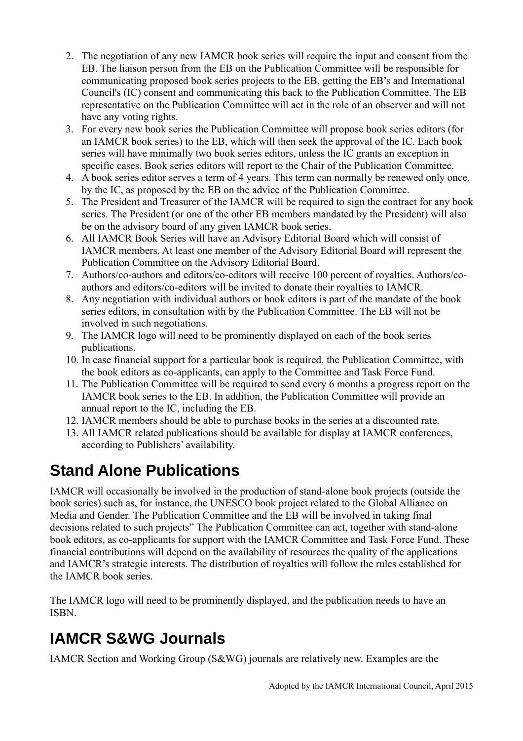- 2. The negotiation of any new IAMCR book series will require the input and consent from the EB. The liaison person from the EB on the Publication Committee will be responsible for communicating proposed book series projects to the EB, getting the EB's and International Council's (IC) consent and communicating this back to the Publication Committee. The EB representative on the Publication Committee will act in the role of an observer and will not have any voting rights.
- 3. For every new book series the Publication Committee will propose book series editors (for an IAMCR book series) to the EB, which will then seek the approval of the IC. Each book series will have minimally two book series editors, unless the IC grants an exception in specific cases. Book series editors will report to the Chair of the Publication Committee.
- 4. A book series editor serves a term of 4 years. This term can normally be renewed only once, by the IC, as proposed by the EB on the advice of the Publication Committee.
- 5. The President and Treasurer of the IAMCR will be required to sign the contract for any book series. The President (or one of the other EB members mandated by the President) will also be on the advisory board of any given IAMCR book series.
- 6. All IAMCR Book Series will have an Advisory Editorial Board which will consist of IAMCR members. At least one member of the Advisory Editorial Board will represent the Publication Committee on the Advisory Editorial Board.
- 7. Authors/co-authors and editors/co-editors will receive 100 percent of royalties. Authors/coauthors and editors/co-editors will be invited to donate their royalties to IAMCR.
- 8. Any negotiation with individual authors or book editors is part of the mandate of the book series editors, in consultation with by the Publication Committee. The EB will not be involved in such negotiations.
- 9. The IAMCR logo will need to be prominently displayed on each of the book series publications.
- 10. In case financial support for a particular book is required, the Publication Committee, with the book editors as co-applicants, can apply to the Committee and Task Force Fund.
- 11. The Publication Committee will be required to send every 6 months a progress report on the IAMCR book series to the EB. In addition, the Publication Committee will provide an annual report to the IC, including the EB.
- 12. IAMCR members should be able to purchase books in the series at a discounted rate.
- 13. All IAMCR related publications should be available for display at IAMCR conferences, according to Publishers' availability.

## **Stand Alone Publications**

IAMCR will occasionally be involved in the production of stand-alone book projects (outside the book series) such as, for instance, the UNESCO book project related to the Global Alliance on Media and Gender. The Publication Committee and the EB will be involved in taking final decisions related to such projects" The Publication Committee can act, together with stand-alone book editors, as co-applicants for support with the IAMCR Committee and Task Force Fund. These financial contributions will depend on the availability of resources the quality of the applications and IAMCR's strategic interests. The distribution of royalties will follow the rules established for the IAMCR book series.

The IAMCR logo will need to be prominently displayed, and the publication needs to have an ISBN.

## **IAMCR S&WG Journals**

IAMCR Section and Working Group (S&WG) journals are relatively new. Examples are the